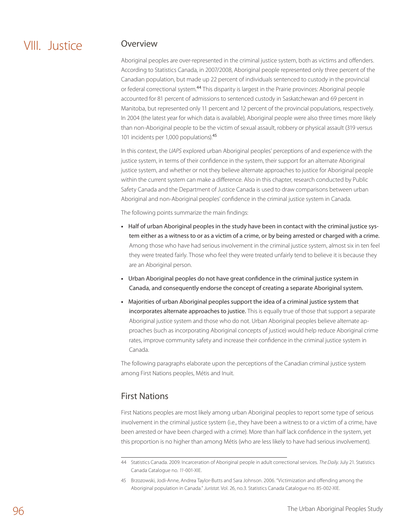# VIII. Justice

### Overview

Aboriginal peoples are over-represented in the criminal justice system, both as victims and offenders. According to Statistics Canada, in 2007/2008, Aboriginal people represented only three percent of the Canadian population, but made up 22 percent of individuals sentenced to custody in the provincial or federal correctional system.<sup>44</sup> This disparity is largest in the Prairie provinces: Aboriginal people accounted for 81 percent of admissions to sentenced custody in Saskatchewan and 69 percent in Manitoba, but represented only 11 percent and 12 percent of the provincial populations, respectively. In 2004 (the latest year for which data is available), Aboriginal people were also three times more likely than non-Aboriginal people to be the victim of sexual assault, robbery or physical assault (319 versus 101 incidents per 1,000 populations).<sup>45</sup>

In this context, the *UAPS* explored urban Aboriginal peoples' perceptions of and experience with the justice system, in terms of their confidence in the system, their support for an alternate Aboriginal justice system, and whether or not they believe alternate approaches to justice for Aboriginal people within the current system can make a difference. Also in this chapter, research conducted by Public Safety Canada and the Department of Justice Canada is used to draw comparisons between urban Aboriginal and non-Aboriginal peoples' confidence in the criminal justice system in Canada.

The following points summarize the main findings:

- **•**  Half of urban Aboriginal peoples in the study have been in contact with the criminal justice system either as a witness to or as a victim of a crime, or by being arrested or charged with a crime. Among those who have had serious involvement in the criminal justice system, almost six in ten feel they were treated fairly. Those who feel they were treated unfairly tend to believe it is because they are an Aboriginal person.
- **•**  Urban Aboriginal peoples do not have great confidence in the criminal justice system in Canada, and consequently endorse the concept of creating a separate Aboriginal system.
- **•**  Majorities of urban Aboriginal peoples support the idea of a criminal justice system that incorporates alternate approaches to justice. This is equally true of those that support a separate Aboriginal justice system and those who do not. Urban Aboriginal peoples believe alternate approaches (such as incorporating Aboriginal concepts of justice) would help reduce Aboriginal crime rates, improve community safety and increase their confidence in the criminal justice system in Canada.

The following paragraphs elaborate upon the perceptions of the Canadian criminal justice system among First Nations peoples, Métis and Inuit.

## First Nations

First Nations peoples are most likely among urban Aboriginal peoples to report some type of serious involvement in the criminal justice system (i.e., they have been a witness to or a victim of a crime, have been arrested or have been charged with a crime). More than half lack confidence in the system, yet this proportion is no higher than among Métis (who are less likely to have had serious involvement).

<sup>44</sup> Statistics Canada. 2009. Incarceration of Aboriginal people in adult correctional services. *The Daily*. July 21. Statistics Canada Catalogue no. *11*-001-XIE.

<sup>45</sup> Brzozowski, Jodi-Anne, Andrea Taylor-Butts and Sara Johnson. 2006. "Victimization and offending among the Aboriginal population in Canada." *Juristat*. Vol. 26, no.3. Statistics Canada Catalogue no. 85-002-XIE.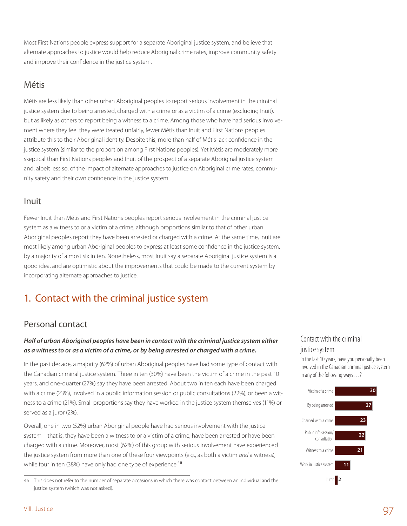Most First Nations people express support for a separate Aboriginal justice system, and believe that alternate approaches to justice would help reduce Aboriginal crime rates, improve community safety and improve their confidence in the justice system.

### Métis

Métis are less likely than other urban Aboriginal peoples to report serious involvement in the criminal justice system due to being arrested, charged with a crime or as a victim of a crime (excluding Inuit), but as likely as others to report being a witness to a crime. Among those who have had serious involvement where they feel they were treated unfairly, fewer Métis than Inuit and First Nations peoples attribute this to their Aboriginal identity. Despite this, more than half of Métis lack confidence in the justice system (similar to the proportion among First Nations peoples). Yet Métis are moderately more skeptical than First Nations peoples and Inuit of the prospect of a separate Aboriginal justice system and, albeit less so, of the impact of alternate approaches to justice on Aboriginal crime rates, community safety and their own confidence in the justice system.

### Inuit

Fewer Inuit than Métis and First Nations peoples report serious involvement in the criminal justice system as a witness to or a victim of a crime, although proportions similar to that of other urban Aboriginal peoples report they have been arrested or charged with a crime. At the same time, Inuit are most likely among urban Aboriginal peoples to express at least some confidence in the justice system, by a majority of almost six in ten. Nonetheless, most Inuit say a separate Aboriginal justice system is a good idea, and are optimistic about the improvements that could be made to the current system by incorporating alternate approaches to justice.

## 1. Contact with the criminal justice system

## Personal contact

#### *Half of urban Aboriginal peoples have been in contact with the criminal justice system either as a witness to or as a victim of a crime, or by being arrested or charged with a crime.*

In the past decade, a majority (62%) of urban Aboriginal peoples have had some type of contact with the Canadian criminal justice system. Three in ten (30%) have been the victim of a crime in the past 10 years, and one-quarter (27%) say they have been arrested. About two in ten each have been charged with a crime (23%), involved in a public information session or public consultations (22%), or been a witness to a crime (21%). Small proportions say they have worked in the justice system themselves (11%) or served as a juror (2%).

Overall, one in two (52%) urban Aboriginal people have had serious involvement with the justice system – that is, they have been a witness to or a victim of a crime, have been arrested or have been charged with a crime. Moreover, most (62%) of this group with serious involvement have experienced the justice system from more than one of these four viewpoints (e.g., as both a victim *and* a witness), while four in ten (38%) have only had one type of experience.<sup>46</sup>

### Contact with the criminal justice system

In the last 10 years, have you personally been involved in the Canadian criminal justice system in any of the following ways…?



<sup>46</sup> This does not refer to the number of separate occasions in which there was contact between an individual and the justice system (which was not asked).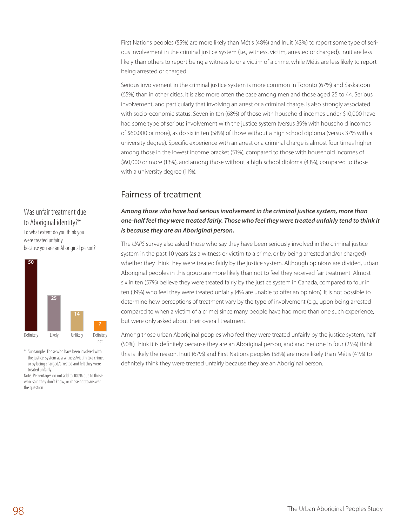First Nations peoples (55%) are more likely than Métis (48%) and Inuit (43%) to report some type of serious involvement in the criminal justice system (i.e., witness, victim, arrested or charged). Inuit are less likely than others to report being a witness to or a victim of a crime, while Métis are less likely to report being arrested or charged.

Serious involvement in the criminal justice system is more common in Toronto (67%) and Saskatoon (65%) than in other cities. It is also more often the case among men and those aged 25 to 44. Serious involvement, and particularly that involving an arrest or a criminal charge, is also strongly associated with socio-economic status. Seven in ten (68%) of those with household incomes under \$10,000 have had some type of serious involvement with the justice system (versus 39% with household incomes of \$60,000 or more), as do six in ten (58%) of those without a high school diploma (versus 37% with a university degree). Specific experience with an arrest or a criminal charge is almost four times higher among those in the lowest income bracket (51%), compared to those with household incomes of \$60,000 or more (13%), and among those without a high school diploma (43%), compared to those with a university degree (11%).

## Fairness of treatment

### *Among those who have had serious involvement in the criminal justice system, more than one-half feel they were treated fairly. Those who feel they were treated unfairly tend to think it is because they are an Aboriginal person.*

The *UAPS* survey also asked those who say they have been seriously involved in the criminal justice system in the past 10 years (as a witness or victim to a crime, or by being arrested and/or charged) whether they think they were treated fairly by the justice system. Although opinions are divided, urban Aboriginal peoples in this group are more likely than not to feel they received fair treatment. Almost six in ten (57%) believe they were treated fairly by the justice system in Canada, compared to four in ten (39%) who feel they were treated unfairly (4% are unable to offer an opinion). It is not possible to determine how perceptions of treatment vary by the type of involvement (e.g., upon being arrested compared to when a victim of a crime) since many people have had more than one such experience, but were only asked about their overall treatment.

Among those urban Aboriginal peoples who feel they were treated unfairly by the justice system, half (50%) think it is definitely because they are an Aboriginal person, and another one in four (25%) think this is likely the reason. Inuit (67%) and First Nations peoples (58%) are more likely than Métis (41%) to definitely think they were treated unfairly because they are an Aboriginal person.

Was unfair treatment due to Aboriginal identity?\* To what extent do you think you were treated unfairly because you are an Aboriginal person?



\* Subsample: Those who have been involved with the justice system as a witness/victim to a crime, or by being charged/arrested and felt they were treated unfairly.

Note: Percentages do not add to 100% due to those who said they don't know, or chose not to answer the question.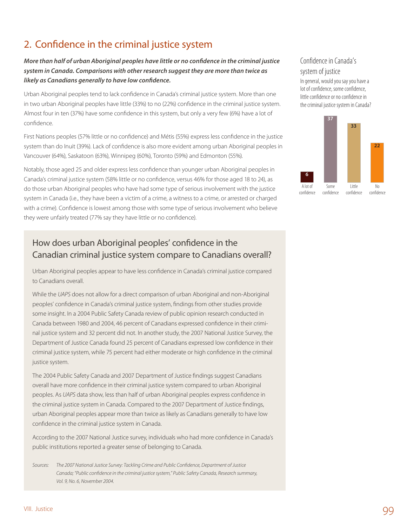## 2. Confidence in the criminal justice system

### *More than half of urban Aboriginal peoples have little or no confidence in the criminal justice system in Canada. Comparisons with other research suggest they are more than twice as likely as Canadians generally to have low confidence.*

Urban Aboriginal peoples tend to lack confidence in Canada's criminal justice system. More than one in two urban Aboriginal peoples have little (33%) to no (22%) confidence in the criminal justice system. Almost four in ten (37%) have some confidence in this system, but only a very few (6%) have a lot of confidence.

First Nations peoples (57% little or no confidence) and Métis (55%) express less confidence in the justice system than do Inuit (39%). Lack of confidence is also more evident among urban Aboriginal peoples in Vancouver (64%), Saskatoon (63%), Winnipeg (60%), Toronto (59%) and Edmonton (55%).

Notably, those aged 25 and older express less confidence than younger urban Aboriginal peoples in Canada's criminal justice system (58% little or no confidence, versus 46% for those aged 18 to 24), as do those urban Aboriginal peoples who have had some type of serious involvement with the justice system in Canada (i.e., they have been a victim of a crime, a witness to a crime, or arrested or charged with a crime). Confidence is lowest among those with some type of serious involvement who believe they were unfairly treated (77% say they have little or no confidence).

## How does urban Aboriginal peoples' confidence in the Canadian criminal justice system compare to Canadians overall?

Urban Aboriginal peoples appear to have less confidence in Canada's criminal justice compared to Canadians overall.

While the *UAPS* does not allow for a direct comparison of urban Aboriginal and non-Aboriginal peoples' confidence in Canada's criminal justice system, findings from other studies provide some insight. In a 2004 Public Safety Canada review of public opinion research conducted in Canada between 1980 and 2004, 46 percent of Canadians expressed confidence in their criminal justice system and 32 percent did not. In another study, the 2007 National Justice Survey, the Department of Justice Canada found 25 percent of Canadians expressed low confidence in their criminal justice system, while 75 percent had either moderate or high confidence in the criminal justice system.

The 2004 Public Safety Canada and 2007 Department of Justice findings suggest Canadians overall have more confidence in their criminal justice system compared to urban Aboriginal peoples. As *UAPS* data show, less than half of urban Aboriginal peoples express confidence in the criminal justice system in Canada. Compared to the 2007 Department of Justice findings, urban Aboriginal peoples appear more than twice as likely as Canadians generally to have low confidence in the criminal justice system in Canada.

According to the 2007 National Justice survey, individuals who had more confidence in Canada's public institutions reported a greater sense of belonging to Canada.

*Sources: The 2007 National Justice Survey: Tackling Crime and Public Confidence, Department of Justice Canada; "Public confidence in the criminal justice system," Public Safety Canada, Research summary, Vol. 9, No. 6, November 2004.*

### Confidence in Canada's system of justice

In general, would you say you have a lot of confidence, some confidence, little confidence or no confidence in the criminal justice system in Canada?

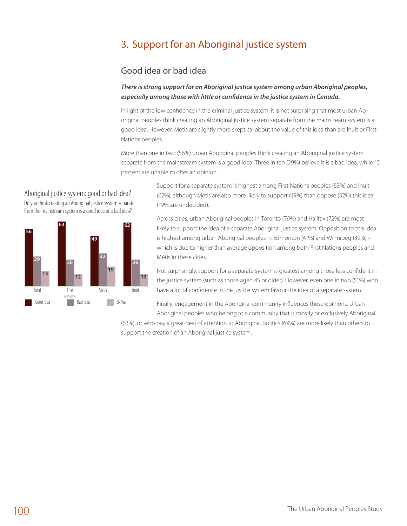## 3. Support for an Aboriginal justice system

## Good idea or bad idea

#### *There is strong support for an Aboriginal justice system among urban Aboriginal peoples, especially among those with little or confidence in the justice system in Canada.*

In light of the low confidence in the criminal justice system, it is not surprising that most urban Aboriginal peoples think creating an Aboriginal justice system separate from the mainstream system is a good idea. However, Métis are slightly more skeptical about the value of this idea than are Inuit or First Nations peoples.

More than one in two (56%) urban Aboriginal peoples think creating an Aboriginal justice system separate from the mainstream system is a good idea. Three in ten (29%) believe it is a bad idea, while 15 E2 percent are unable to offer an opinion.

> Support for a separate system is highest among First Nations peoples (63%) and Inuit (62%), although Métis are also more likely to support (49%) than oppose (32%) this idea (19% are undecided).

Across cities, urban Aboriginal peoples in Toronto (79%) and Halifax (72%) are most likely to support the idea of a separate Aboriginal justice system. Opposition to this idea is highest among urban Aboriginal peoples in Edmonton (41%) and Winnipeg (39%) – which is due to higher than average opposition among both First Nations peoples and Métis in these cities.

Not surprisingly, support for a separate system is greatest among those less confident in the justice system (such as those aged 45 or older). However, even one in two (51%) who have a lot of confidence in the justice system favour the idea of a separate system.

Finally, engagement in the Aboriginal community influences these opinions. Urban Aboriginal peoples who belong to a community that is mostly or exclusively Aboriginal

(63%), or who pay a great deal of attention to Aboriginal politics (69%) are more likely than others to support the creation of an Aboriginal justice system.

Aboriginal justice system: good or bad idea? Do you think creating an Aboriginal justice system separate from the mainstream system is a good idea or a bad idea?

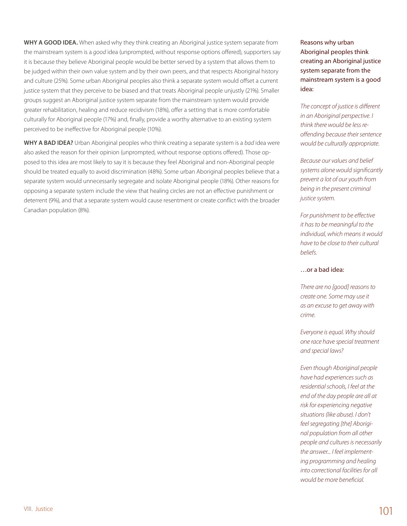**WHY A GOOD IDEA.** When asked why they think creating an Aboriginal justice system separate from the mainstream system is a *good* idea (unprompted, without response options offered), supporters say it is because they believe Aboriginal people would be better served by a system that allows them to be judged within their own value system and by their own peers, and that respects Aboriginal history and culture (25%). Some urban Aboriginal peoples also think a separate system would offset a current justice system that they perceive to be biased and that treats Aboriginal people unjustly (21%). Smaller groups suggest an Aboriginal justice system separate from the mainstream system would provide greater rehabilitation, healing and reduce recidivism (18%), offer a setting that is more comfortable culturally for Aboriginal people (17%) and, finally, provide a worthy alternative to an existing system perceived to be ineffective for Aboriginal people (10%).

**Why a bad idea?** Urban Aboriginal peoples who think creating a separate system is a *bad* idea were also asked the reason for their opinion (unprompted, without response options offered). Those opposed to this idea are most likely to say it is because they feel Aboriginal and non-Aboriginal people should be treated equally to avoid discrimination (48%). Some urban Aboriginal peoples believe that a separate system would unnecessarily segregate and isolate Aboriginal people (18%). Other reasons for opposing a separate system include the view that healing circles are not an effective punishment or deterrent (9%), and that a separate system would cause resentment or create conflict with the broader Canadian population (8%).

Reasons why urban Aboriginal peoples think creating an Aboriginal justice system separate from the mainstream system is a good idea:

*The concept of justice is different in an Aboriginal perspective. I think there would be less reoffending because their sentence would be culturally appropriate.* 

*Because our values and belief systems alone would significantly prevent a lot of our youth from being in the present criminal justice system.*

*For punishment to be effective it has to be meaningful to the individual, which means it would have to be close to their cultural beliefs.*

#### …or a bad idea:

*There are no [good] reasons to create one. Some may use it as an excuse to get away with crime.*

*Everyone is equal. Why should one race have special treatment and special laws?*

*Even though Aboriginal people have had experiences such as residential schools, I feel at the end of the day people are all at risk for experiencing negative situations (like abuse). I don't feel segregating [the] Aboriginal population from all other people and cultures is necessarily the answer... I feel implementing programming and healing into correctional facilities for all would be more beneficial.*